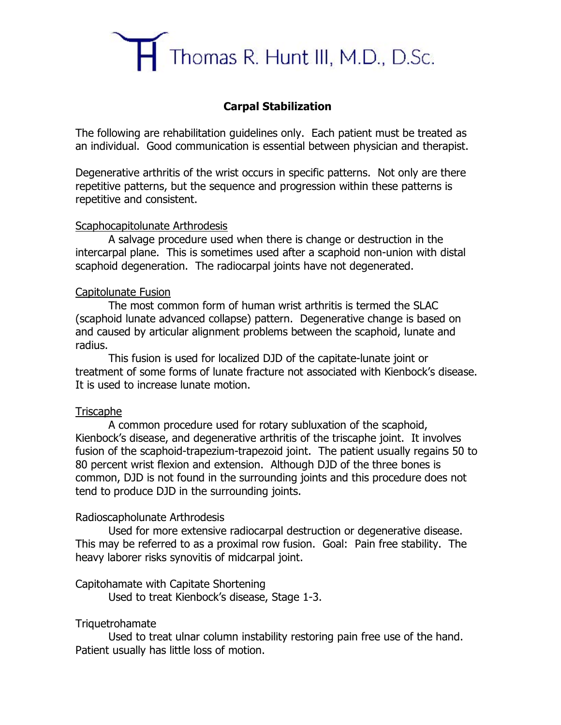

## **Carpal Stabilization**

The following are rehabilitation guidelines only. Each patient must be treated as an individual. Good communication is essential between physician and therapist.

Degenerative arthritis of the wrist occurs in specific patterns. Not only are there repetitive patterns, but the sequence and progression within these patterns is repetitive and consistent.

#### Scaphocapitolunate Arthrodesis

A salvage procedure used when there is change or destruction in the intercarpal plane. This is sometimes used after a scaphoid non-union with distal scaphoid degeneration. The radiocarpal joints have not degenerated.

#### Capitolunate Fusion

The most common form of human wrist arthritis is termed the SLAC (scaphoid lunate advanced collapse) pattern. Degenerative change is based on and caused by articular alignment problems between the scaphoid, lunate and radius.

This fusion is used for localized DJD of the capitate-lunate joint or treatment of some forms of lunate fracture not associated with Kienbock's disease. It is used to increase lunate motion.

## **Triscaphe**

A common procedure used for rotary subluxation of the scaphoid, Kienbock's disease, and degenerative arthritis of the triscaphe joint. It involves fusion of the scaphoid-trapezium-trapezoid joint. The patient usually regains 50 to 80 percent wrist flexion and extension. Although DJD of the three bones is common, DJD is not found in the surrounding joints and this procedure does not tend to produce DJD in the surrounding joints.

## Radioscapholunate Arthrodesis

Used for more extensive radiocarpal destruction or degenerative disease. This may be referred to as a proximal row fusion. Goal: Pain free stability. The heavy laborer risks synovitis of midcarpal joint.

## Capitohamate with Capitate Shortening

Used to treat Kienbock's disease, Stage 1-3.

## Triquetrohamate

Used to treat ulnar column instability restoring pain free use of the hand. Patient usually has little loss of motion.